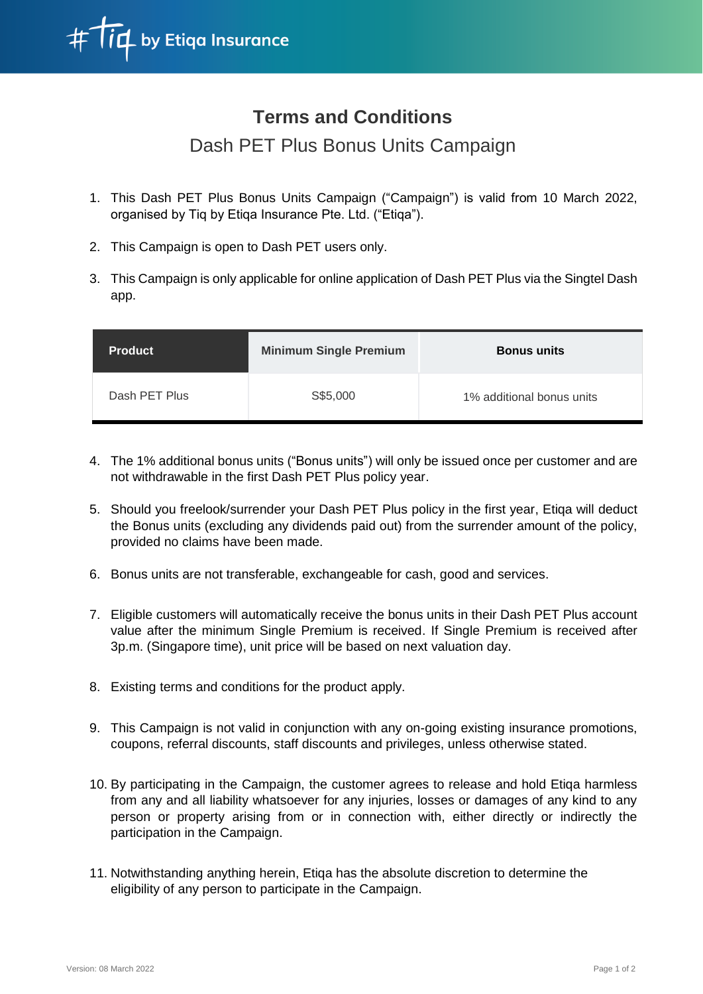

## **Terms and Conditions**

## Dash PET Plus Bonus Units Campaign

- 1. This Dash PET Plus Bonus Units Campaign ("Campaign") is valid from 10 March 2022, organised by Tiq by Etiqa Insurance Pte. Ltd. ("Etiqa").
- 2. This Campaign is open to Dash PET users only.
- 3. This Campaign is only applicable for online application of Dash PET Plus via the Singtel Dash app.

| <b>Product</b> | <b>Minimum Single Premium</b> | <b>Bonus units</b>        |
|----------------|-------------------------------|---------------------------|
| Dash PET Plus  | S\$5,000                      | 1% additional bonus units |

- 4. The 1% additional bonus units ("Bonus units") will only be issued once per customer and are not withdrawable in the first Dash PET Plus policy year.
- 5. Should you freelook/surrender your Dash PET Plus policy in the first year, Etiqa will deduct the Bonus units (excluding any dividends paid out) from the surrender amount of the policy, provided no claims have been made.
- 6. Bonus units are not transferable, exchangeable for cash, good and services.
- 7. Eligible customers will automatically receive the bonus units in their Dash PET Plus account value after the minimum Single Premium is received. If Single Premium is received after 3p.m. (Singapore time), unit price will be based on next valuation day.
- 8. Existing terms and conditions for the product apply.
- 9. This Campaign is not valid in conjunction with any on-going existing insurance promotions, coupons, referral discounts, staff discounts and privileges, unless otherwise stated.
- 10. By participating in the Campaign, the customer agrees to release and hold Etiqa harmless from any and all liability whatsoever for any injuries, losses or damages of any kind to any person or property arising from or in connection with, either directly or indirectly the participation in the Campaign.
- 11. Notwithstanding anything herein, Etiqa has the absolute discretion to determine the eligibility of any person to participate in the Campaign.